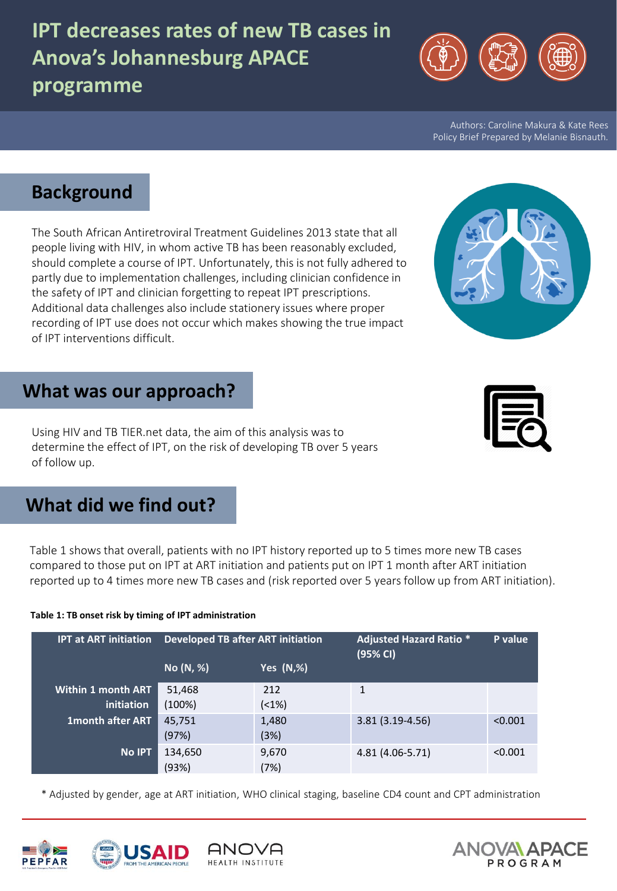# **IPT decreases rates of new TB cases in Anova's Johannesburg APACE programme**

Authors: Caroline Makura & Kate Rees Policy Brief Prepared by Melanie Bisnauth*.*

# **Background**

The South African Antiretroviral Treatment Guidelines 2013 state that all people living with HIV, in whom active TB has been reasonably excluded, should complete a course of IPT. Unfortunately, this is not fully adhered to partly due to implementation challenges, including clinician confidence in the safety of IPT and clinician forgetting to repeat IPT prescriptions. Additional data challenges also include stationery issues where proper recording of IPT use does not occur which makes showing the true impact of IPT interventions difficult.

## **What was our approach?**

Using HIV and TB TIER.net data, the aim of this analysis was to determine the effect of IPT, on the risk of developing TB over 5 years of follow up.

# **What did we find out?**

Table 1 shows that overall, patients with no IPT history reported up to 5 times more new TB cases compared to those put on IPT at ART initiation and patients put on IPT 1 month after ART initiation reported up to 4 times more new TB cases and (risk reported over 5 years follow up from ART initiation).

#### **Table 1: TB onset risk by timing of IPT administration**

| <b>IPT at ART initiation</b>            | <b>Developed TB after ART initiation</b> |                   | <b>Adjusted Hazard Ratio *</b><br>(95% CI) | P value |
|-----------------------------------------|------------------------------------------|-------------------|--------------------------------------------|---------|
|                                         | No (N, %)                                | <b>Yes (N,%)</b>  |                                            |         |
| <b>Within 1 month ART</b><br>initiation | 51,468<br>(100%)                         | 212<br>$( < 1\%)$ | 1                                          |         |
| <b>1month after ART</b>                 | 45,751<br>(97%)                          | 1,480<br>(3%)     | 3.81 (3.19-4.56)                           | < 0.001 |
| <b>No IPT</b>                           | 134,650<br>(93%)                         | 9,670<br>(7%)     | 4.81 (4.06-5.71)                           | < 0.001 |

\* Adjusted by gender, age at ART initiation, WHO clinical staging, baseline CD4 count and CPT administration

ANOVA

HEALTH INSTITUTE